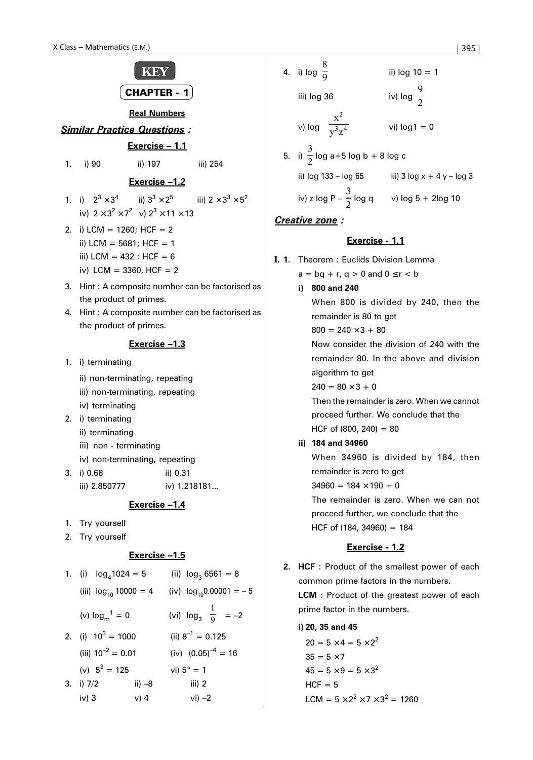

iv) 3 v) 4 vi) –2

| X Class – Mathematics (E.M.) | 395                      |                                             |                                                  |                          |                               |
|------------------------------|--------------------------|---------------------------------------------|--------------------------------------------------|--------------------------|-------------------------------|
| <b>KEY</b>                   | 4. i) $\log \frac{8}{9}$ | ii) $\log 10 = 1$                           |                                                  |                          |                               |
| <b>CHAPTER - 1</b>           | iii) $\log 36$           | iv) $\log \frac{9}{2}$                      |                                                  |                          |                               |
| <b>Real Numbers</b>          | vi) $\log 1 = 0$         |                                             |                                                  |                          |                               |
| <b>Exercise 0.11</b>         | iii) 254                 | iv) $\log \left(\frac{x^2}{y^3 z^4}\right)$ | vi) $\log 1 = 0$                                 |                          |                               |
| 1. i) 90                     | ii) 197                  | iii) 254                                    | 5. i) $\frac{3}{2} \log a + 5 \log b + 8 \log c$ | ii) $\log 133 - \log 65$ | iii) 3 $\log x + 4y - \log 3$ |

*Creative zone :*

iv) z log P –  $\frac{3}{2}$ 

## **Exercise - 1.1**

**I. 1.** Theorem : Euclids Division Lemma

- $a = bq + r, q > 0$  and  $0 \le r < b$
- **i) 800 and 240** When 800 is divided by 240, then the remainder is 80 to get

 $\frac{1}{2}$  log q v) log 5 + 2log 10

 $800 = 240 \times 3 + 80$ 

Now consider the division of 240 with the remainder 80. In the above and division algorithm to get

 $240 = 80 \times 3 + 0$ 

Then the remainder is zero. When we cannot proceed further. We conclude that the HCF of  $(800, 240) = 80$ 

**ii) 184 and 34960**

When 34960 is divided by 184, then remainder is zero to get  $34960 = 184 \times 190 + 0$ 

The remainder is zero. When we can not proceed further, we conclude that the HCF of  $(184, 34960) = 184$ 

# **Exercise - 1.2**

**2. HCF :** Product of the smallest power of each common prime factors in the numbers. **LCM** : Product of the greatest power of each prime factor in the numbers.

**i) 20, 35 and 45**

 $20 = 5 \times 4 = 5 \times 2^2$  $35 = 5 \times 7$  $45 = 5 \times 9 = 5 \times 3^2$  $HCF = 5$ LCM =  $5 \times 2^2 \times 7 \times 3^2 = 1260$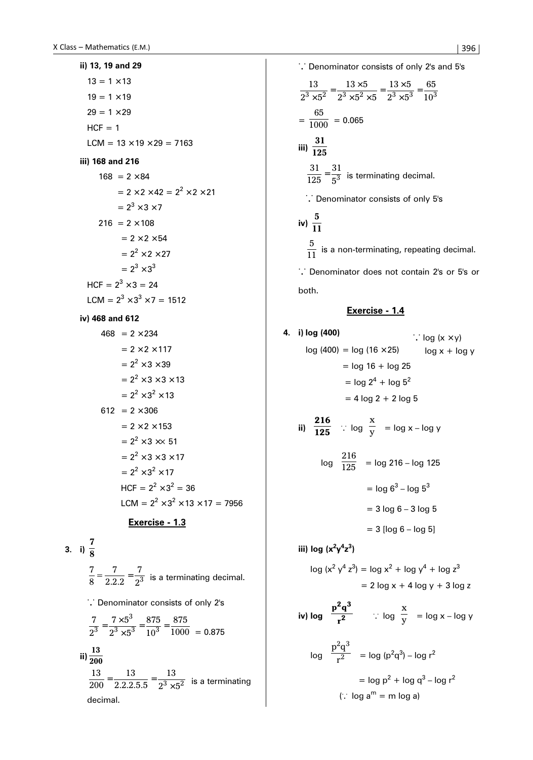**ii) 13, 19 and 29**  $13 = 1 \times 13$  $19 = 1 \times 19$  $29 = 1 \times 29$  $HCF = 1$  $LCM = 13 \times 19 \times 29 = 7163$ **iii) 168 and 216**  $168 = 2 \times 84$  $= 2 \times 2 \times 42 = 2^2 \times 2 \times 21$  $= 2^3 \times 3 \times 7$  $216 = 2 \times 108$  $= 2 \times 2 \times 54$  $= 2<sup>2</sup> \times 2 \times 27$  $= 2^3 \times 3^3$  $HCF = 2^3 \times 3 = 24$ LCM =  $2^3 \times 3^3 \times 7 = 1512$ **iv) 468 and 612**  $468 = 2 \times 234$  $= 2 \times 2 \times 117$ 

$$
= 2 \times 2 \times 117
$$
  
\n
$$
= 22 \times 3 \times 39
$$
  
\n
$$
= 22 \times 3 \times 3 \times 13
$$
  
\n
$$
= 22 \times 32 \times 13
$$
  
\n612 = 2 × 306  
\n
$$
= 2 × 2 × 153
$$
  
\n
$$
= 22 × 3 × 51
$$
  
\n
$$
= 22 × 3 × 3 × 17
$$
  
\n
$$
= 22 × 32 × 17
$$
  
\nHCF = 2<sup>2</sup> × 3<sup>2</sup> = 36  
\nLCM = 2<sup>2</sup> × 3<sup>2</sup> × 13 × 17 = 7956

# **Exercise - 1.3**

3. i) 
$$
\frac{7}{8}
$$
  
 $\frac{7}{8} = \frac{7}{2.2.2} = \frac{7}{2^3}$  is a terminating decimal.  
  $\therefore$  Denominator consists of only 2's

7

$$
\frac{7}{2^3} = \frac{7 \times 5^3}{2^3 \times 5^3} = \frac{875}{10^3} = \frac{875}{1000} = 0.875
$$
  
ii) 
$$
\frac{13}{200} = \frac{13}{2.2.2.5.5} = \frac{13}{2^3 \times 5^2}
$$
 is a terminating decimal.

. . . Denominator consists of only 2's and 5's 13  $2^{\circ} \times 5$  $13 \times 5$  $2^3 \times 5^2 \times 5$  $13 \times 5$  $2^{\circ} \times 5$  $\frac{13}{3\times5^2} = \frac{13\times5}{2^3\times5^2\times5} = \frac{13\times5}{2^3\times5^3} = \frac{65}{10^3}$  $=\frac{65}{1000}$  = 0.065 iii)  $\frac{31}{125}$ **125**  $\frac{31}{125} = \frac{31}{5^3}$  is terminating decimal. ..<br>
.. Denominator consists of only 5's iv)  $\frac{5}{11}$ **11**  $\frac{5}{11}$  is a non-terminating, repeating decimal. . . . Denominator does not contain 2's or 5's or

both.

**4. i) log (400)**

# **Exercise - 1.4**

i) log (400)  
\n
$$
\log (400) = \log (16 \times 25) \qquad \log x + \log y
$$
\n
$$
= \log 16 + \log 25
$$
\n
$$
= \log 2^4 + \log 5^2
$$
\n
$$
= 4 \log 2 + 2 \log 5
$$
\n
$$
= \log \left(\frac{216}{125}\right) \therefore \log \left(\frac{x}{y}\right) = \log x - \log y
$$
\n
$$
\log \left(\frac{216}{125}\right) = \log 216 - \log 125
$$
\n
$$
= \log 6^3 - \log 5^3
$$
\n
$$
= 3 \log 6 - 3 \log 5
$$
\n
$$
= 3 [\log 6 - \log 5]
$$

**iii) log (x2 y4 z3 )**

$$
\log (x^2 y^4 z^3) = \log x^2 + \log y^4 + \log z^3
$$
  
= 2 log x + 4 log y + 3 log z

iv) 
$$
\log \left(\frac{p^2q^3}{r^2}\right)
$$
 :  $\log \left(\frac{x}{y}\right) = \log x - \log y$   
 $\log \left(\frac{p^2q^3}{r^2}\right) = \log (p^2q^3) - \log r^2$   
 $= \log p^2 + \log q^3 - \log r^2$   
(:  $\log a^m = m \log a$ )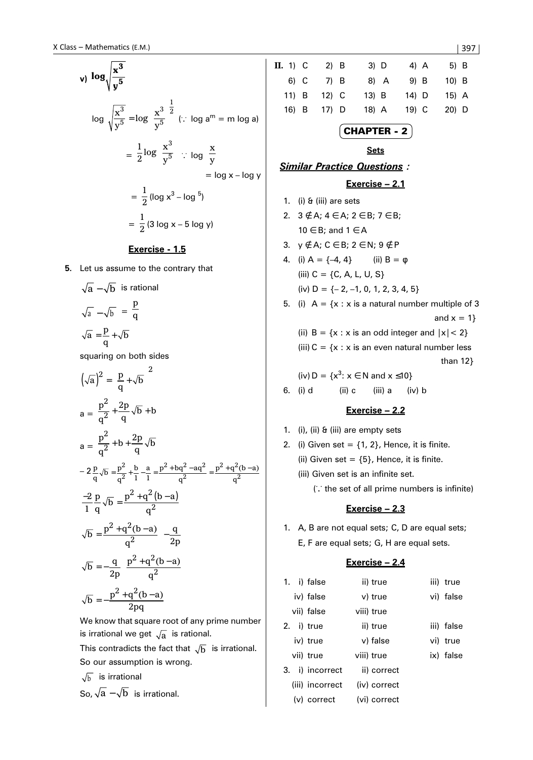$$
\mathbf{v} \mathbf{1} \log \sqrt{\frac{\mathbf{x}^3}{\mathbf{y}^5}} = \log \left(\frac{\mathbf{x}^3}{\mathbf{y}^5}\right)^{\frac{1}{2}} \quad (\because \log \mathbf{a}^m = \mathbf{m} \log \mathbf{a})
$$
\n
$$
= \frac{1}{2} \log \left(\frac{\mathbf{x}^3}{\mathbf{y}^5}\right) \quad \therefore \quad \log \left(\frac{\mathbf{x}}{\mathbf{y}}\right)
$$
\n
$$
= \log \mathbf{x} - \log \mathbf{y}
$$
\n
$$
= \frac{1}{2} (\log \mathbf{x}^3 - \log 5)
$$
\n
$$
= \frac{1}{2} (3 \log \mathbf{x} - 5 \log \mathbf{y})
$$

### **Exercise - 1.5**

**5.** Let us assume to the contrary that

$$
\sqrt{a} - \sqrt{b}
$$
 is rational  

$$
\sqrt{a} - \sqrt{b} = \frac{p}{q}
$$

$$
\sqrt{a} = \frac{p}{q} + \sqrt{b}
$$

squaring on both sides

$$
(\sqrt{a})^2 = \left(\frac{p}{q} + \sqrt{b}\right)^2
$$
  
\n
$$
a = \frac{p^2}{q^2} + \frac{2p}{q}\sqrt{b} + b
$$
  
\n
$$
a = \frac{p^2}{q^2} + b + \frac{2p}{q}\sqrt{b}
$$
  
\n
$$
-2\frac{p}{q}\sqrt{b} = \frac{p^2}{q^2} + \frac{b}{1} - \frac{a}{1} = \frac{p^2 + bq^2 - aq^2}{q^2} = \frac{p^2 + q^2(b-a)}{q^2}
$$
  
\n
$$
\frac{-2}{1} \frac{p}{q}\sqrt{b} = \frac{p^2 + q^2(b-a)}{q^2}
$$
  
\n
$$
\sqrt{b} = \frac{p^2 + q^2(b-a)}{q^2} \left(-\frac{q}{2p}\right)
$$
  
\n
$$
\sqrt{b} = -\frac{q}{2p} \left(\frac{p^2 + q^2(b-a)}{q^2}\right)
$$
  
\n
$$
\sqrt{b} = -\frac{p^2 + q^2(b-a)}{2pq}
$$

We know that square root of any prime number is irrational we get  $\sqrt{a}$  is rational.

This contradicts the fact that  $\sqrt{b}$  is irrational. So our assumption is wrong.

$$
\sqrt{b}
$$
 is irrational

So, 
$$
\sqrt{a} - \sqrt{b}
$$
 is irrational.

**II.** 1) C 2) B 3) D 4) A 5) B 6) C 7) B 8) A 9) B 10) B 11) B 12) C 13) B 14) D 15) A 16) B 17) D 18) A 19) C 20) D CHAPTER - 2 **Sets** *Similar Practice Questions :* **Exercise – 2.1** 1. (i) & (iii) are sets 2. 3 ∉ A; 4 ∈ A; 2 ∈ B; 7 ∈ B; 10 ∈ B; and 1 ∈ A 3. y ∉ A; C ∈ B; 2 ∈ N; 9 ∉ P 4. (i)  $A = \{-4, 4\}$  (ii)  $B = \phi$ (iii)  $C = \{C, A, L, U, S\}$ (iv)  $D = \{-2, -1, 0, 1, 2, 3, 4, 5\}$ 5. (i)  $A = \{x : x \text{ is a natural number multiple of } 3\}$ and  $x = 1$ } (ii)  $B = \{x : x \text{ is an odd integer and } |x| < 2\}$ (iii)  $C = \{x : x \text{ is an even natural number less} \}$  than 12} (iv)  $D = \{x^3 : x \in N \text{ and } x \le 10\}$ 6. (i) d (ii) c (iii) a (iv) b

# **Exercise – 2.2**

- 1. (i), (ii) & (iii) are empty sets
- 2. (i) Given set =  $\{1, 2\}$ , Hence, it is finite. (ii) Given set =  ${5}$ , Hence, it is finite. (iii) Given set is an infinite set. (. . . the set of all prime numbers is infinite)

### **Exercise – 2.3**

1. A, B are not equal sets; C, D are equal sets; E, F are equal sets; G, H are equal sets.

### **Exercise – 2.4**

|  | 1. i) false     | ii) true     | iii) true  |
|--|-----------------|--------------|------------|
|  | iv) false       | v) true      | vi) false  |
|  | vii) false      | viii) true   |            |
|  | 2. i) true      | ii) true     | iii) false |
|  | iv) true        | v) false     | vi) true   |
|  | vii) true       | viii) true   | ix) false  |
|  | 3. i) incorrect | ii) correct  |            |
|  | (iii) incorrect | (iv) correct |            |
|  | $(v)$ correct   | (vi) correct |            |

 $|397|$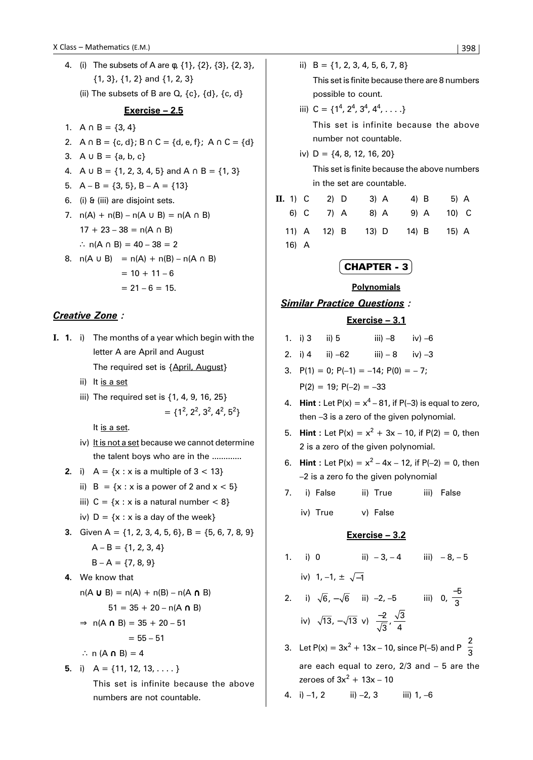4. (i) The subsets of A are φ, {1}, {2}, {3}, {2, 3}, {1, 3}, {1, 2} and {1, 2, 3} (ii) The subsets of B are  $Q$ ,  $\{c\}$ ,  $\{d\}$ ,  $\{c, d\}$ **Exercise – 2.5** 1.  $A \cap B = \{3, 4\}$ 2.  $A \cap B = \{c, d\}$ ;  $B \cap C = \{d, e, f\}$ ;  $A \cap C = \{d\}$ 3.  $A \cup B = \{a, b, c\}$ 4. A ∪ B = {1, 2, 3, 4, 5} and A  $\cap$  B = {1, 3} 5.  $A - B = \{3, 5\}$ ,  $B - A = \{13\}$ 6. (i) & (iii) are disjoint sets. 7.  $n(A) + n(B) - n(A \cup B) = n(A \cap B)$  $17 + 23 - 38 = n(A \cap B)$ ∴  $n(A \cap B) = 40 - 38 = 2$ 8.  $n(A \cup B) = n(A) + n(B) - n(A \cap B)$  $= 10 + 11 - 6$  $= 21 - 6 = 15.$ 

# *Creative Zone :*

- **I. 1.** i) The months of a year which begin with the letter A are April and August The required set is {April, August}
	- ii) It is a set
	- iii) The required set is {1, 4, 9, 16, 25}  $= \{1^2, 2^2, 3^2, 4^2, 5^2\}$

It is a set.

- iv) It is not a set because we cannot determine the talent boys who are in the .............
- **2.** i)  $A = \{x : x \text{ is a multiple of } 3 < 13\}$ 
	- ii)  $B = \{x : x \text{ is a power of } 2 \text{ and } x < 5\}$
	- iii)  $C = \{x : x \text{ is a natural number} < 8\}$
	- iv)  $D = \{x : x \text{ is a day of the week}\}\$
- **3.** Given A =  $\{1, 2, 3, 4, 5, 6\}$ , B =  $\{5, 6, 7, 8, 9\}$  $A - B = \{1, 2, 3, 4\}$  $B - A = \{7, 8, 9\}$
- **4.** We know that

```
n(A \cup B) = n(A) + n(B) - n(A \cap B)
```
 $51 = 35 + 20 - n(A \cap B)$ 

$$
\Rightarrow n(A \cap B) = 35 + 20 - 51
$$

$$
= 55-51
$$

∴ n  $(A \cap B) = 4$ 

5. i) 
$$
A = \{11, 12, 13, \ldots\}
$$

This set is infinite because the above numbers are not countable.

ii)  $B = \{1, 2, 3, 4, 5, 6, 7, 8\}$ This set is finite because there are 8 numbers possible to count. iii)  $C = \{1^4, 2^4, 3^4, 4^4, \ldots \}$ This set is infinite because the above

- number not countable.
- iv)  $D = \{4, 8, 12, 16, 20\}$

This set is finite because the above numbers in the set are countable.

| $\mathbf{II.}$ 1) $\mathbf{C}$ |      | 2) D        | $3)$ A      | 4) B |       | 5) A |
|--------------------------------|------|-------------|-------------|------|-------|------|
|                                | 6) C | 7) A        | 8) A        | 9) A | 10) C |      |
|                                |      | 11) A 12) B | 13) D 14) B |      | 15) A |      |
| 16) A                          |      |             |             |      |       |      |

# CHAPTER - 3

### **Polynomials**

*Similar Practice Questions :*

### **Exercise – 3.1**

- 1. i) 3 ii) 5 iii)  $-8$  iv)  $-6$
- 2. i) 4 ii)  $-62$  iii)  $-8$  iv)  $-3$
- 3.  $P(1) = 0$ ;  $P(-1) = -14$ ;  $P(0) = -7$ :  $P(2) = 19$ ;  $P(-2) = -33$
- 4. **Hint** : Let  $P(x) = x^4 81$ , if  $P(-3)$  is equal to zero, then –3 is a zero of the given polynomial.
- 5. **Hint** : Let  $P(x) = x^2 + 3x 10$ , if  $P(2) = 0$ , then 2 is a zero of the given polynomial.
- 6. **Hint**: Let  $P(x) = x^2 4x 12$ , if  $P(-2) = 0$ , then –2 is a zero fo the given polynomial
- 7. i) False ii) True iii) False
	- iv) True v) False

### **Exercise – 3.2**

- 1. i) 0 ii)  $-3, -4$  iii)  $-8, -5$ iv) 1, –1,  $\pm \sqrt{-1}$ 2. i)  $\sqrt{6}$ ,  $-\sqrt{6}$  ii) –2, –5 iii) 0,  $\frac{-5}{3}$ iv)  $\sqrt{13}$ ,  $-\sqrt{13}$  v)  $\frac{-2}{\sqrt{3}}$  $\frac{\sqrt{3}}{4}$
- 3. Let P(x) =  $3x^2 + 13x 10$ , since P(-5) and P $\left(\frac{2}{3}\right)$ 3 ſ  $\left(\frac{2}{3}\right)$ are each equal to zero, 2/3 and – 5 are the zeroes of 3 $x^2 + 13x - 10$

4. i)  $-1$ , 2 ii)  $-2$ , 3 iii)  $1, -6$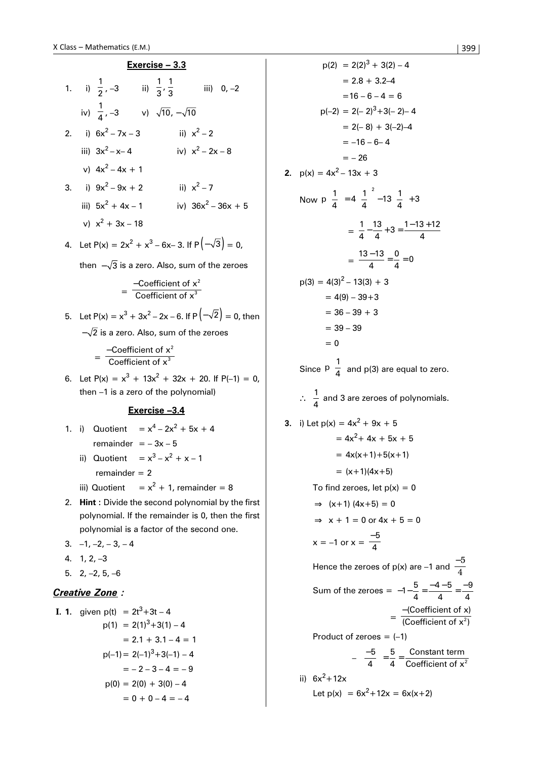| $Exercise - 3.3$ |  |                                                               |  |  |                    |                       |
|------------------|--|---------------------------------------------------------------|--|--|--------------------|-----------------------|
|                  |  | 1. i) $\frac{1}{2}$ , -3 ii) $\frac{1}{3}$ , $\frac{1}{3}$    |  |  | iii) $0, -2$       |                       |
|                  |  | iv) $\frac{1}{4}$ , -3 v) $\sqrt{10}$ , - $\sqrt{10}$         |  |  |                    |                       |
|                  |  | 2. i) $6x^2 - 7x - 3$                                         |  |  | ii) $x^2 - 2$      |                       |
|                  |  | iii) $3x^2 - x - 4$                                           |  |  | iv) $x^2 - 2x - 8$ |                       |
|                  |  | v) $4x^2 - 4x + 1$                                            |  |  |                    |                       |
|                  |  | 3. i) $9x^2 - 9x + 2$                                         |  |  | ii) $x^2 - 7$      |                       |
|                  |  | iii) $5x^2 + 4x - 1$                                          |  |  |                    | iv) $36x^2 - 36x + 5$ |
|                  |  | v) $x^2 + 3x - 18$                                            |  |  |                    |                       |
|                  |  | 4. Let $P(x) = 2x^2 + x^3 - 6x - 3$ . If $P(-\sqrt{3}) = 0$ , |  |  |                    |                       |
|                  |  | then $-\sqrt{3}$ is a zero. Also, sum of the zeroes           |  |  |                    |                       |

$$
= \frac{-\text{Coefficient of } x^2}{\text{Coefficient of } x^3}
$$

5. Let  $P(x) = x^3 + 3x^2 - 2x - 6$ . If  $P(-\sqrt{2}) = 0$ , then  $-\sqrt{2}$  is a zero. Also, sum of the zeroes

$$
= \frac{-\text{Coefficient of x}^2}{\text{Coefficient of x}^3}
$$

6. Let  $P(x) = x^3 + 13x^2 + 32x + 20$ . If  $P(-1) = 0$ , then –1 is a zero of the polynomial)

# **Exercise –3.4**

- 1. i) Quotient  $= x^4 2x^2 + 5x + 4$ remainder  $=-3x-5$ 
	- ii) Quotient =  $x^3 x^2 + x 1$  $remainder = 2$
	- iii) Quotient  $= x<sup>2</sup> + 1$ , remainder = 8
- 2. **Hint :** Divide the second polynomial by the first polynomial. If the remainder is 0, then the first polynomial is a factor of the second one.
- $3. -1, -2, -3, -4$
- 4. 1, 2, –3
- 5.  $2, -2, 5, -6$

# *Creative Zone :*

1. 1. given 
$$
p(t) = 2t^3 + 3t - 4
$$

\n
$$
p(1) = 2(1)^3 + 3(1) - 4
$$
\n
$$
= 2.1 + 3.1 - 4 = 1
$$
\n
$$
p(-1) = 2(-1)^3 + 3(-1) - 4
$$
\n
$$
= -2 - 3 - 4 = -9
$$
\n
$$
p(0) = 2(0) + 3(0) - 4
$$
\n
$$
= 0 + 0 - 4 = -4
$$

 $p(2) = 2(2)^3 + 3(2) - 4$  $= 2.8 + 3.2 - 4$  $=16 - 6 - 4 = 6$  $p(-2) = 2(-2)^3 + 3(-2) - 4$  $= 2(-8) + 3(-2) - 4$  $= -16 - 6 - 4$  $=- 26$ **2.**  $p(x) = 4x^2 - 13x + 3$ Now  $p\left(\frac{1}{4}\right)$  $\left(\frac{1}{4}\right) = 4\left(\frac{1}{4}\right)^2 - 13\left(\frac{1}{4}\right) + 3$  $(1)$ <sub>-4</sub> $(1)^2$  $\left(\frac{1}{4}\right) = 4\left(\frac{1}{4}\right) - 13\left(\frac{1}{4}\right) +$  $=\frac{1}{4}$ 13  $-\frac{13}{4}+3=\frac{1-13+12}{4}$  $=\frac{13-13}{4}$ 0  $\frac{-13}{4} = \frac{0}{4} = 0$  $p(3) = 4(3)^{2} - 13(3) + 3$  $= 4(9) - 39 + 3$  $= 36 - 39 + 3$  $= 39 - 39$  $= 0$ Since  $p\left(\frac{1}{4}\right)$ 4 ſ  $\left(\frac{1}{4}\right)$ and p(3) are equal to zero. ∴  $\frac{1}{4}$  and 3 are zeroes of polynomials. **3.** i) Let  $p(x) = 4x^2 + 9x + 5$  $= 4x^2 + 4x + 5x + 5$  $= 4x(x+1)+5(x+1)$  $= (x+1)(4x+5)$ To find zeroes, let  $p(x) = 0$  $\Rightarrow$  (x+1) (4x+5) = 0  $\Rightarrow$  x + 1 = 0 or 4x + 5 = 0  $x = -1$  or  $x = \frac{-5}{4}$ Hence the zeroes of p(x) are –1 and  $\frac{-5}{4}$ Sum of the zeroes =  $-1-\frac{5}{4}=\frac{-4-5}{4}=\frac{-4}{4}$  $4 - 5$ 4 4  $= \frac{-$ (Coefficient of x)<br>(Coefficient of x<sup>2</sup>) Coefficient of x Coefficient of  $x^2$ Product of zeroes  $= (-1)$  $-\left(\frac{-5}{4}\right)=\frac{5}{4}$ 5 4 Constant term Coefficient of  $x^2$ ii)  $6x^2 + 12x$ Let  $p(x) = 6x^2 + 12x = 6x(x+2)$ 

9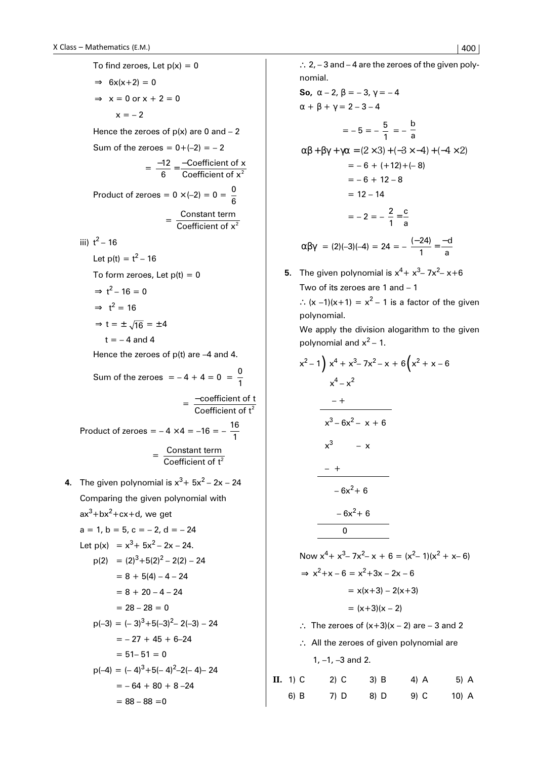To find zeroes, Let  $p(x) = 0$  $\Rightarrow$  6x(x+2) = 0  $\Rightarrow$  x = 0 or x + 2 = 0  $x = -2$ Hence the zeroes of  $p(x)$  are 0 and  $-2$ Sum of the zeroes =  $0+(-2) = -2$  $=\frac{-12}{6}=\frac{-\text{Coefficient of }\lambda}{\text{Coefficient of }\lambda^2}$ Coefficient of x Coefficient of x Product of zeroes =  $0 \times (-2) = 0 = \frac{0}{6}$  $= \frac{\text{Constant term}}{\text{Coefficient of x}^2}$ iii)  $t^2 - 16$ Let  $p(t) = t^2 - 16$ To form zeroes, Let  $p(t) = 0$  $\Rightarrow$  t<sup>2</sup> – 16 = 0  $\Rightarrow$  t<sup>2</sup> = 16  $\Rightarrow$  t =  $\pm \sqrt{16}$  =  $\pm 4$  $t = -4$  and 4 Hence the zeroes of p(t) are –4 and 4. Sum of the zeroes  $= -4 + 4 = 0 = \frac{0}{1}$  $=\frac{-\text{coefficient of t}}{\text{Coefficient of t}^2}$ Product of zeroes =  $-4 \times 4 = -16 = -\frac{16}{1}$  $= \frac{\text{Constant term}}{\text{Coefficient of t}^2}$ **4.** The given polynomial is  $x^3 + 5x^2 - 2x - 24$ Comparing the given polynomial with ax<sup>3</sup>+bx<sup>2</sup>+cx+d, we get  $a = 1, b = 5, c = -2, d = -24$ Let  $p(x) = x^3 + 5x^2 - 2x - 24$ .  $p(2) = (2)^3 + 5(2)^2 - 2(2) - 24$  $= 8 + 5(4) - 4 - 24$  $= 8 + 20 - 4 - 24$  $= 28 - 28 = 0$  $p(-3) = (-3)^3 + 5(-3)^2 - 2(-3) - 24$ 

> $= -27 + 45 + 6 - 24$  $= 51 - 51 = 0$  $p(-4) = (-4)^3 + 5(-4)^2 - 2(-4) - 24$  $= -64 + 80 + 8 - 24$  $= 88 - 88 = 0$

∴ 2, – 3 and – 4 are the zeroes of the given polynomial.

So, 
$$
\alpha - 2
$$
,  $\beta = -3$ ,  $\gamma = -4$   
\n
$$
\alpha + \beta + \gamma = 2 - 3 - 4
$$
\n
$$
= -5 = -\frac{5}{1} = -\frac{5}{a}
$$
\n
$$
\alpha\beta + \beta\gamma + \gamma\alpha = (2 \times 3) + (-3 \times -4) + (-4 \times 2)
$$
\n
$$
= -6 + (+12) + (-8)
$$
\n
$$
= -6 + 12 - 8
$$
\n
$$
= 12 - 14
$$
\n
$$
= -2 = -\frac{2}{1} = \frac{c}{a}
$$
\n
$$
\alpha\beta\gamma = (2)(-3)(-4) = 24 = -\frac{(-24)}{1} = -\frac{d}{a}
$$

**5.** The given polynomial is  $x^4 + x^3 - 7x^2 - x + 6$ Two of its zeroes are 1 and – 1 ∴  $(x -1)(x+1) = x<sup>2</sup> - 1$  is a factor of the given

polynomial.

We apply the division alogarithm to the given polynomial and  $x^2$  – 1.

$$
x^{2}-1\overline{\smash{\big)}\ x^{4}+x^{3}-7x^{2}-x+6\overline{\smash{\big)}\ x^{4}-x^{2}}
$$
\n  
\n
$$
x^{4}-x^{2}
$$
\n  
\n
$$
x^{3}-6x^{2}-x+6
$$
\n  
\n
$$
x^{3}-x
$$
\n  
\n
$$
-6x^{2}+6
$$
\n  
\n
$$
-6x^{2}+6
$$
\n  
\n
$$
0
$$
\n  
\nNow  $x^{4}+x^{3}-7x^{2}-x+6=(x^{2}-1)(x^{2}+x-6)$   
\n
$$
\Rightarrow x^{2}+x-6=x^{2}+3x-2x-6
$$
\n
$$
=x(x+3)-2(x+3)
$$
\n
$$
=(x+3)(x-2)
$$
\n
$$
\therefore
$$
 The zeroes of  $(x+3)(x-2)$  are -3 and 2

∴ All the zeroes of given polynomial are 1, –1, –3 and 2.

| II. 1) C | $2)$ C | $3)$ B | 4) $A$ | $5)$ A  |
|----------|--------|--------|--------|---------|
| 6) B     | $7)$ D | 8) D   | $9)$ C | $10)$ A |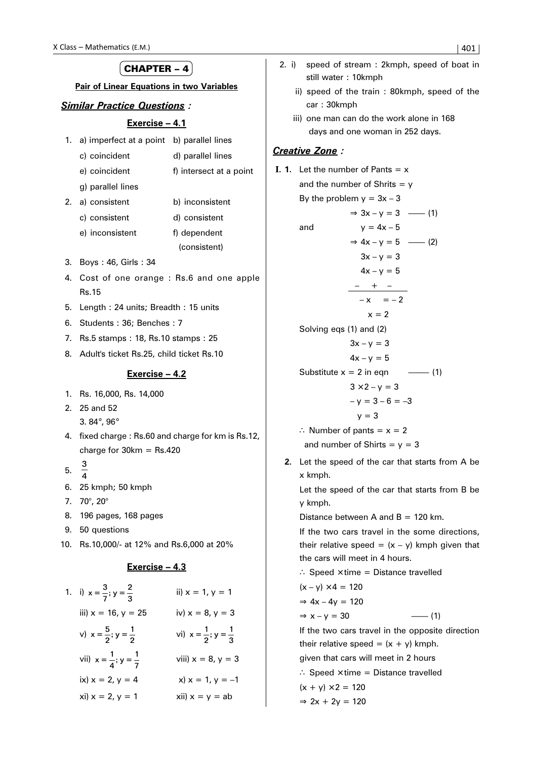#### X Class – Mathematics (E.M.)  $\vert$  401 CHAPTER  $-4$ **Pair of Linear Equations in two Variables** *Similar Practice Questions :* **Exercise – 4.1** 1. a) imperfect at a point b) parallel lines c) coincident d) parallel lines e) coincident f) intersect at a point g) parallel lines 2. a) consistent b) inconsistent c) consistent d) consistent e) inconsistent f) dependent (consistent) 3. Boys : 46, Girls : 34 4. Cost of one orange : Rs.6 and one apple Rs.15 5. Length : 24 units; Breadth : 15 units 6. Students : 36; Benches : 7 7. Rs.5 stamps : 18, Rs.10 stamps : 25 8. Adult's ticket Rs.25, child ticket Rs.10 **Exercise – 4.2** 1. Rs. 16,000, Rs. 14,000 2. 25 and 52 3. 84°, 96° 4. fixed charge : Rs.60 and charge for km is Rs.12, charge for  $30km = Rs.420$ 5. 3  $\overline{A}$ 6. 25 kmph; 50 kmph 7. 70°, 20° 8. 196 pages, 168 pages 9. 50 questions 10. Rs.10,000/- at 12% and Rs.6,000 at 20% **Exercise – 4.3** 1. i)  $x = \frac{3}{7}$ ;  $y = \frac{2}{3}$  ii)  $x = 1$ ,  $y = 1$ iii)  $x = 16$ ,  $y = 25$  iv)  $x = 8$ ,  $y = 3$ v)  $x = \frac{5}{2}$ ;  $y = \frac{1}{2}$  vi)  $x = \frac{1}{2}$ ;  $y = \frac{1}{3}$  2. i) speed of stream : 2kmph, speed of boat in still water : 10kmph ii) speed of the train : 80kmph, speed of the car : 30kmph iii) one man can do the work alone in 168 days and one woman in 252 days. *Creative Zone :* **I. 1.** Let the number of Pants  $= x$ and the number of Shrits  $= v$ By the problem  $y = 3x - 3$  $\Rightarrow$  3x – y = 3 ––– (1) and  $y = 4x - 5$  $\Rightarrow$  4x – y = 5 ––– (2)  $3x - y = 3$  $4x - y = 5$  – + –  $-x = -2$  $x = 2$ Solving eqs (1) and (2)  $3x - y = 3$  $4x - y = 5$ Substitute  $x = 2$  in eqn  $\qquad -(-1)$  $3 \times 2 - y = 3$  $- y = 3 - 6 = -3$  $v = 3$ ∴ Number of pants = x = 2 and number of Shirts =  $y = 3$ **2.** Let the speed of the car that starts from A be x kmph. Let the speed of the car that starts from B be y kmph. Distance between A and  $B = 120$  km. If the two cars travel in the some directions, their relative speed =  $(x - y)$  kmph given that the cars will meet in 4 hours. ∴ Speed × time = Distance travelled  $(x - y) \times 4 = 120$  $\Rightarrow$  4x – 4y = 120

3

viii)  $x = 8, y = 3$ 

ix)  $x = 2$ ,  $y = 4$   $x) x = 1$ ,  $y = -1$  $x$ i)  $x = 2$ ,  $y = 1$   $x$ ii)  $x = y = ab$ 

vii)  $x = \frac{1}{4}$ ;  $y = \frac{1}{7}$ 

 $\Rightarrow$  x – y = 30 ––––––––––––––(1) If the two cars travel in the opposite direction their relative speed =  $(x + y)$  kmph. given that cars will meet in 2 hours ∴ Speed × time = Distance travelled

$$
(x + y) \times 2 = 120
$$

$$
\Rightarrow 2x + 2y = 120
$$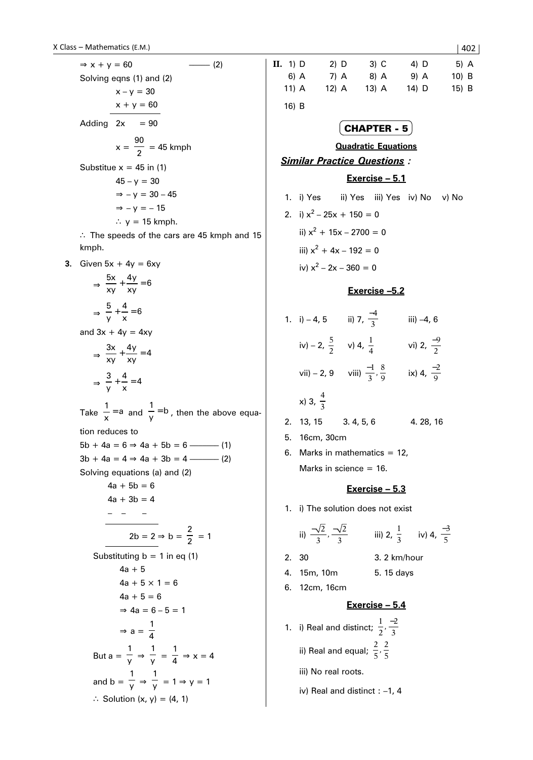|    | $\Rightarrow$ x + y = 60                                        |
|----|-----------------------------------------------------------------|
|    | Solving eqns (1) and (2)                                        |
|    | $x - y = 30$                                                    |
|    | $x + y = 60$                                                    |
|    | Adding $2x = 90$                                                |
|    | $x = \frac{90}{2} = 45$ kmph                                    |
|    | Substitue $x = 45$ in (1)                                       |
|    | $45 - y = 30$                                                   |
|    | $\Rightarrow -v = 30 - 45$                                      |
|    | $\Rightarrow -v = -15$                                          |
|    | $\therefore$ y = 15 kmph.                                       |
|    | $\therefore$ The speeds of the cars are 45 kmph and 15<br>kmph. |
| 3. | Given $5x + 4y = 6xy$                                           |

$$
\Rightarrow \frac{5x}{xy} + \frac{4y}{xy} = 6
$$

$$
\Rightarrow \frac{5}{y} + \frac{4}{x} = 6
$$

and  $3x + 4y = 4xy$ 

$$
\Rightarrow \frac{3x}{xy} + \frac{4y}{xy} = 4
$$

$$
\Rightarrow \frac{3}{y} + \frac{4}{x} = 4
$$

and b =

y ⇒

∴ Solution  $(x, y) = (4, 1)$ 

 $\frac{1}{y}$  = 1  $\Rightarrow$  y = 1

Take  $\frac{1}{x}$  = a and  $\frac{1}{y}$  = b, then the above equation reduces to  $5b + 4a = 6 \Rightarrow 4a + 5b = 6$  –––––––––––––(1) 3b + 4a = 4 ⇒ 4a + 3b = 4 ––––––– (2) Solving equations (a) and (2)  $4a + 5b = 6$  $4a + 3b = 4$ – – –  $2b = 2 \Rightarrow b = \frac{2}{2} = 1$ Substituting  $b = 1$  in eq (1)  $4a + 5$  $4a + 5 \times 1 = 6$  $4a + 5 = 6$  $\Rightarrow$  4a = 6 – 5 = 1  $\Rightarrow$  a =  $\frac{1}{4}$ 4 But a =  $\frac{1}{v}$ y ⇒  $\frac{1}{y} = \frac{1}{4} \Rightarrow x = 4$ 1 1

**II.** 1) D 2) D 3) C 4) D 5) A 6) A 7) A 8) A 9) A 10) B 11) A 12) A 13) A 14) D 15) B 16) B

# CHAPTER - 5

### **Quadratic Equations**

# *Similar Practice Questions :*

### **Exercise – 5.1**

- 1. i) Yes ii) Yes iii) Yes iv) No v) No
- 2. i)  $x^2 25x + 150 = 0$ ii)  $x^2 + 15x - 2700 = 0$ iii)  $x^2 + 4x - 192 = 0$ iv)  $x^2 - 2x - 360 = 0$

### **Exercise –5.2**

|    | 1. $i) - 4, 5$         | ii) 7, $\frac{-4}{3}$             | iii) -4, 6            |
|----|------------------------|-----------------------------------|-----------------------|
|    | iv) – 2, $\frac{5}{2}$ | v) 4, $\frac{1}{4}$               | vi) 2, $\frac{-9}{2}$ |
|    | $vii) - 2, 9$          | viii) $\frac{-1}{3}, \frac{8}{9}$ | ix) 4, $\frac{-2}{9}$ |
|    | x) 3, $\frac{4}{3}$    |                                   |                       |
| 2. | 13, 15                 | 3.4, 5, 6                         | 4. 28, 16             |
| 5. | 16cm, 30cm             |                                   |                       |

6. Marks in mathematics  $= 12$ , Marks in science = 16.

# **Exercise – 5.3**

1. i) The solution does not exist

ii) 
$$
\frac{-\sqrt{2}}{3}, \frac{-\sqrt{2}}{3}
$$
 iii) 2,  $\frac{1}{3}$  iv) 4,  $\frac{-3}{5}$ 

- 2. 30 3. 2 km/hour
- 4. 15m, 10m 5. 15 days
- 6. 12cm, 16cm

## **Exercise – 5.4**

- 1. i) Real and distinct;  $\frac{1}{2}$ 2  $\frac{-2}{3}$ ii) Real and equal;  $\frac{2}{5}$ 5 2  $,\frac{2}{5}$ 
	- iii) No real roots.
	- iv) Real and distinct : –1, 4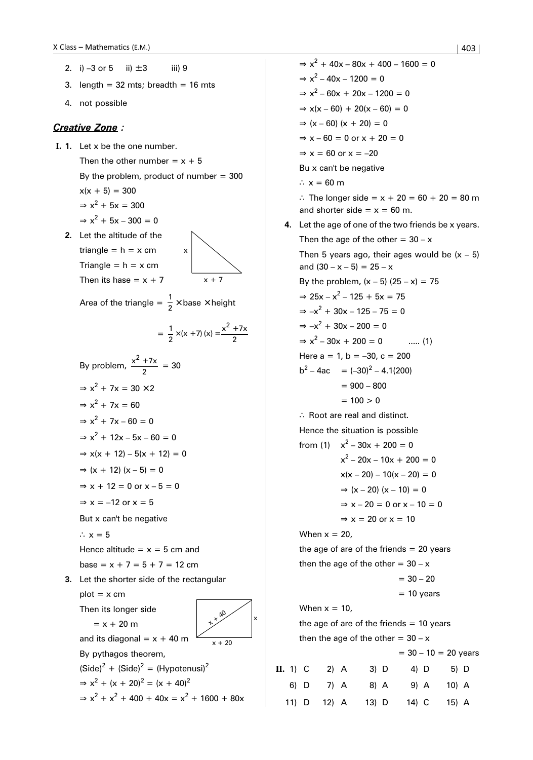$$
|403|
$$

- 2. i) –3 or 5 ii)  $\pm 3$  iii) 9
- 3. length =  $32$  mts; breadth =  $16$  mts
- 4. not possible

### *Creative Zone :*

- **I. 1.** Let x be the one number. Then the other number =  $x + 5$ By the problem, product of number  $= 300$  $x(x + 5) = 300$  $\Rightarrow$  x<sup>2</sup> + 5x = 300  $\Rightarrow$  x<sup>2</sup> + 5x - 300 = 0
	- **2.** Let the altitude of the triangle =  $h = x$  cm Triangle =  $h = x$  cm Then its hase =  $x + 7$

Area of the triangle  $=$   $\frac{1}{2} \times$  base  $\times$  height

$$
= \frac{1}{2} \times (x + 7) (x) = \frac{x^2 + 7x}{2}
$$

x

 $x + 7$ 

By problem, 
$$
\frac{x^2 + 7x}{2} = 30
$$
  
\n
$$
\Rightarrow x^2 + 7x = 30 \times 2
$$
  
\n
$$
\Rightarrow x^2 + 7x = 60
$$
  
\n
$$
\Rightarrow x^2 + 7x - 60 = 0
$$
  
\n
$$
\Rightarrow x^2 + 12x - 5x - 60 = 0
$$
  
\n
$$
\Rightarrow x(x + 12) - 5(x + 12) = 0
$$
  
\n
$$
\Rightarrow (x + 12) (x - 5) = 0
$$
  
\n
$$
\Rightarrow x + 12 = 0 \text{ or } x - 5 = 0
$$
  
\n
$$
\Rightarrow x = -12 \text{ or } x = 5
$$
  
\nBut x can't be negative  
\n
$$
\therefore x = 5
$$
  
\nHence altitude = x = 5 cm and

base =  $x + 7 = 5 + 7 = 12$  cm

 **3.** Let the shorter side of the rectangular  $plot = x$  cm

Then its longer side

$$
\begin{array}{c}\n\bullet \\
\bullet \\
\bullet \\
\bullet\n\end{array}
$$

 $= x + 20 m$ 

 $x + 20$  $\alpha$ x

By pythagos theorem,

and its diagonal =  $x + 40$  m

 $(Side)^{2} + (Side)^{2} = (Hypotenusi)^{2}$  $\Rightarrow$  x<sup>2</sup> + (x + 20)<sup>2</sup> = (x + 40)<sup>2</sup>  $\Rightarrow$  x<sup>2</sup> + x<sup>2</sup> + 400 + 40x = x<sup>2</sup> + 1600 + 80x

 $\Rightarrow$  x<sup>2</sup> + 40x - 80x + 400 - 1600 = 0  $\Rightarrow$  x<sup>2</sup> - 40x - 1200 = 0  $\Rightarrow$  x<sup>2</sup> - 60x + 20x - 1200 = 0  $\Rightarrow$  x(x – 60) + 20(x – 60) = 0  $\Rightarrow$  (x – 60) (x + 20) = 0  $\Rightarrow$  x – 60 = 0 or x + 20 = 0  $\Rightarrow$  x = 60 or x = -20 Bu x can't be negative ∴  $x = 60$  m ∴ The longer side =  $x + 20 = 60 + 20 = 80$  m and shorter side =  $x = 60$  m.  **4.** Let the age of one of the two friends be x years. Then the age of the other =  $30 - x$ Then 5 years ago, their ages would be  $(x - 5)$ and  $(30 - x - 5) = 25 - x$ By the problem,  $(x - 5)$   $(25 - x) = 75$  $\Rightarrow$  25x – x<sup>2</sup> – 125 + 5x = 75  $\Rightarrow -x^2 + 30x - 125 - 75 = 0$  $\Rightarrow -x^2 + 30x - 200 = 0$  $\Rightarrow$  x<sup>2</sup> - 30x + 200 = 0 ..... (1) Here  $a = 1$ ,  $b = -30$ ,  $c = 200$  $b^2 - 4ac = (-30)^2 - 4.1(200)$  $= 900 - 800$  $= 100 > 0$ ∴ Root are real and distinct. Hence the situation is possible from (1)  $x^2 - 30x + 200 = 0$  $x^2 - 20x - 10x + 200 = 0$  $x(x - 20) - 10(x - 20) = 0$  $\Rightarrow$  (x – 20) (x – 10) = 0  $\Rightarrow$  x – 20 = 0 or x – 10 = 0  $\Rightarrow$  x = 20 or x = 10 When  $x = 20$ , the age of are of the friends  $= 20$  years then the age of the other =  $30 - x$  $= 30 - 20$  $= 10$  years When  $x = 10$ , the age of are of the friends  $= 10$  years then the age of the other =  $30 - x$  $= 30 - 10 = 20$  years **II.** 1) C 2) A 3) D 4) D 5) D 6) D 7) A 8) A 9) A 10) A 11) D 12) A 13) D 14) C 15) A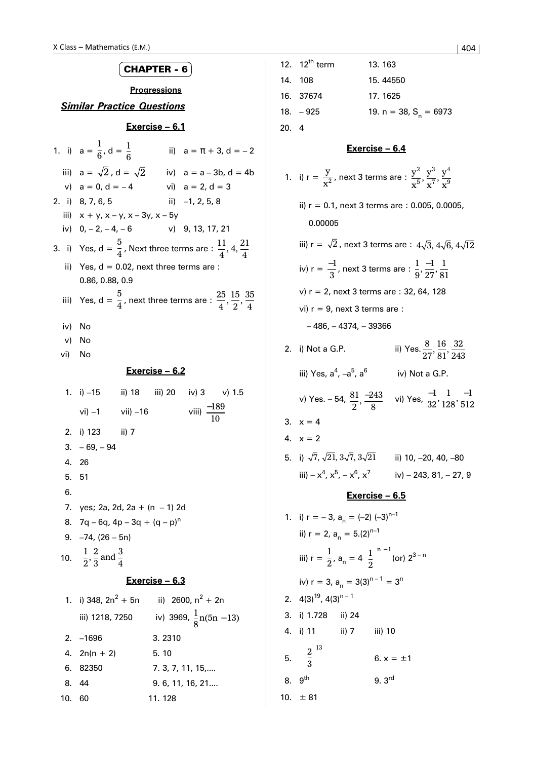|                     | <b>CHAPTER - 6</b>                              |                                                                                                       |  |  |  |  |  |  |
|---------------------|-------------------------------------------------|-------------------------------------------------------------------------------------------------------|--|--|--|--|--|--|
| <b>Progressions</b> |                                                 |                                                                                                       |  |  |  |  |  |  |
|                     | <b>Similar Practice Questions</b>               |                                                                                                       |  |  |  |  |  |  |
|                     |                                                 | <u>Exercise – 6.1</u>                                                                                 |  |  |  |  |  |  |
|                     | 1. i) $a = \frac{1}{6}$ , $d = \frac{1}{6}$     | ii) $a = \pi + 3$ , $d = -2$                                                                          |  |  |  |  |  |  |
|                     | iii) $a = \sqrt{2}$ , $d = \sqrt{2}$            | iv) $a = a - 3b$ , $d = 4b$                                                                           |  |  |  |  |  |  |
|                     | v) $a = 0, d = -4$                              | vi) $a = 2, d = 3$                                                                                    |  |  |  |  |  |  |
|                     | 2. i) 8, 7, 6, 5                                | ii) $-1, 2, 5, 8$                                                                                     |  |  |  |  |  |  |
|                     | iii) $x + y$ , $x - y$ , $x - 3y$ , $x - 5y$    |                                                                                                       |  |  |  |  |  |  |
|                     | iv) $0, -2, -4, -6$                             | $v)$ 9, 13, 17, 21                                                                                    |  |  |  |  |  |  |
|                     |                                                 | 3. i) Yes, d = $\frac{5}{4}$ , Next three terms are : $\frac{11}{4}$ , 4, $\frac{21}{4}$              |  |  |  |  |  |  |
|                     |                                                 | ii) Yes, $d = 0.02$ , next three terms are :                                                          |  |  |  |  |  |  |
|                     | 0.86, 0.88, 0.9                                 |                                                                                                       |  |  |  |  |  |  |
|                     |                                                 | iii) Yes, d = $\frac{5}{4}$ , next three terms are : $\frac{25}{4}$ , $\frac{15}{2}$ , $\frac{35}{4}$ |  |  |  |  |  |  |
|                     | iv) No                                          |                                                                                                       |  |  |  |  |  |  |
| v)                  | No                                              |                                                                                                       |  |  |  |  |  |  |
| vi) No              |                                                 |                                                                                                       |  |  |  |  |  |  |
|                     |                                                 | <u> Exercise – 6.2</u>                                                                                |  |  |  |  |  |  |
|                     |                                                 | 1. i) -15 ii) 18 iii) 20 iv) 3 v) 1.5                                                                 |  |  |  |  |  |  |
|                     |                                                 |                                                                                                       |  |  |  |  |  |  |
|                     | $vi) -1$ vii) $-16$                             | viii) $\frac{-189}{10}$                                                                               |  |  |  |  |  |  |
|                     | 2. i) 123 ii) 7                                 |                                                                                                       |  |  |  |  |  |  |
| 3.                  | – 69, – 94                                      |                                                                                                       |  |  |  |  |  |  |
| 4.                  | - 26                                            |                                                                                                       |  |  |  |  |  |  |
| 5.                  | 51                                              |                                                                                                       |  |  |  |  |  |  |
| 6.                  |                                                 |                                                                                                       |  |  |  |  |  |  |
| 7.                  | yes; 2a, 2d, 2a + $(n - 1)$ 2d                  |                                                                                                       |  |  |  |  |  |  |
| 8.                  | $7q - 6q$ , 4p – 3q + $(q - p)^n$               |                                                                                                       |  |  |  |  |  |  |
|                     | $9. -74, (26 - 5n)$                             |                                                                                                       |  |  |  |  |  |  |
| 10.                 | $\frac{1}{2}$ , $\frac{2}{3}$ and $\frac{3}{4}$ |                                                                                                       |  |  |  |  |  |  |
|                     |                                                 | Exercise - 6.3                                                                                        |  |  |  |  |  |  |
|                     |                                                 | 1. i) 348, $2n^2 + 5n$ ii) 2600, $n^2 + 2n$                                                           |  |  |  |  |  |  |
|                     | iii) 1218, 7250                                 | iv) 3969, $\frac{1}{8}n(5n-13)$                                                                       |  |  |  |  |  |  |
| 2.                  | $-1696$                                         | 3.2310                                                                                                |  |  |  |  |  |  |
| 4.                  | $2n(n + 2)$                                     | 5.10                                                                                                  |  |  |  |  |  |  |
| 6.                  | 82350                                           | 7. 3, 7, 11, 15,                                                                                      |  |  |  |  |  |  |
| 8.                  | 44                                              | 9. 6, 11, 16, 21                                                                                      |  |  |  |  |  |  |
| 10.                 | 60                                              | 11. 128                                                                                               |  |  |  |  |  |  |

|     | 12. $12^{th}$ term                                                              | 13.163                                                                                                        |  |  |  |  |
|-----|---------------------------------------------------------------------------------|---------------------------------------------------------------------------------------------------------------|--|--|--|--|
|     | 14. 108                                                                         | 15.44550                                                                                                      |  |  |  |  |
|     | 16. 37674                                                                       | 17.1625                                                                                                       |  |  |  |  |
|     | $18. -925$                                                                      | 19. n = 38, $S_n = 6973$                                                                                      |  |  |  |  |
| 20. | 4                                                                               |                                                                                                               |  |  |  |  |
|     |                                                                                 | Exercise - 6.4                                                                                                |  |  |  |  |
|     |                                                                                 | 1. i) $r = \frac{y}{x^2}$ , next 3 terms are : $\frac{y^2}{x^5}, \frac{y^3}{x^7}, \frac{y^4}{x^9}$            |  |  |  |  |
|     | 0.00005                                                                         | ii) r = 0.1, next 3 terms are : 0.005, 0.0005,                                                                |  |  |  |  |
|     |                                                                                 | iii) r = $\sqrt{2}$ , next 3 terms are : $4\sqrt{3},\,4\sqrt{6},\,4\sqrt{12}$                                 |  |  |  |  |
|     |                                                                                 | iv) r = $\frac{-1}{3}$ , next 3 terms are : $\frac{1}{9}, \frac{-1}{27}, \frac{1}{81}$                        |  |  |  |  |
|     |                                                                                 | v) r = 2, next 3 terms are : 32, 64, 128                                                                      |  |  |  |  |
|     | vi) $r = 9$ , next 3 terms are :                                                |                                                                                                               |  |  |  |  |
|     | $-486, -4374, -39366$                                                           |                                                                                                               |  |  |  |  |
| 2.  | i) Not a G.P.                                                                   | ii) Yes. $\frac{8}{27}, \frac{16}{81}, \frac{32}{243}$                                                        |  |  |  |  |
|     | iii) Yes, a <sup>4</sup> , –a <sup>5</sup> , a <sup>6</sup>                     | iv) Not a G.P.                                                                                                |  |  |  |  |
|     |                                                                                 | v) Yes. - 54, $\frac{81}{2}$ , $\frac{-243}{8}$ vi) Yes, $\frac{-1}{32}$ , $\frac{1}{128}$ , $\frac{-1}{512}$ |  |  |  |  |
|     | 3. $x = 4$                                                                      |                                                                                                               |  |  |  |  |
|     | 4. $x = 2$                                                                      |                                                                                                               |  |  |  |  |
| 5.  | i) $\sqrt{7}, \sqrt{21}, 3\sqrt{7}, 3\sqrt{21}$                                 | ii) 10, –20, 40, –80                                                                                          |  |  |  |  |
|     | iii) – $x^4$ , $x^5$ , – $x^6$ , $x^7$                                          | iv) - 243, 81, - 27, 9                                                                                        |  |  |  |  |
|     |                                                                                 | <u>Exercise – 6.5</u>                                                                                         |  |  |  |  |
|     | 1. i) $r = -3$ , $a_n = (-2) (-3)^{n-1}$                                        |                                                                                                               |  |  |  |  |
|     | ii) $r = 2$ , $a_n = 5.(2)^{n-1}$                                               |                                                                                                               |  |  |  |  |
|     | iii) $r = \frac{1}{2}$ , $a_n = 4\left(\frac{1}{2}\right)^{n-1}$ (or) $2^{3-n}$ |                                                                                                               |  |  |  |  |
|     | iv) $r = 3$ , $a_n = 3(3)^{n-1} = 3^n$                                          |                                                                                                               |  |  |  |  |
|     | 2. $4(3)^{19}$ , $4(3)^{n-1}$                                                   |                                                                                                               |  |  |  |  |
|     | 3. i) 1.728 ii) 24                                                              |                                                                                                               |  |  |  |  |
|     | ii) 7 iii) 10<br>4. i) 11                                                       |                                                                                                               |  |  |  |  |
|     | 5. $\left(\frac{2}{3}\right)^{13}$                                              | 6. $x = \pm 1$                                                                                                |  |  |  |  |
|     | 8. 9 <sup>th</sup>                                                              | 9.3 <sup>rd</sup>                                                                                             |  |  |  |  |
|     | 10. $\pm$ 81                                                                    |                                                                                                               |  |  |  |  |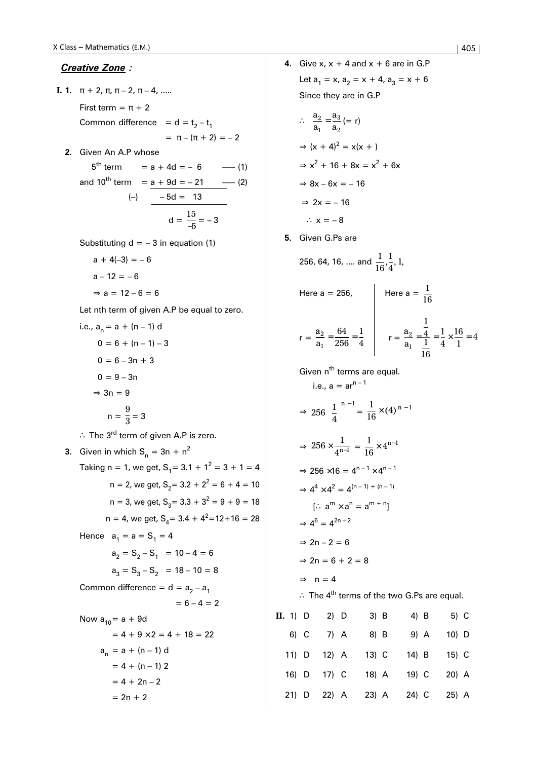### *Creative Zone :*

- **I. 1.**  $\pi + 2, \pi, \pi 2, \pi 4, \ldots$ First term =  $\pi$  + 2 Common difference =  $d = t<sub>2</sub> - t<sub>1</sub>$  $= \pi - (\pi + 2) = -2$ 
	- **2.** Given An A.P whose

 $5^{th}$  term = a + 4d = - 6 --- (1) and  $10^{th}$  term =  $a + 9d = -21$  -- (2)  $(-)$   $-5d = 13$  $d = \frac{15}{-5} = -3$ 

Substituting  $d = -3$  in equation (1)

 $a + 4(-3) = -6$  $a - 12 = -6$  $\Rightarrow$  a = 12 – 6 = 6

Let nth term of given A.P be equal to zero.

i.e., 
$$
a_n = a + (n - 1) d
$$
  
\n $0 = 6 + (n - 1) - 3$   
\n $0 = 6 - 3n + 3$   
\n $0 = 9 - 3n$   
\n $\Rightarrow 3n = 9$   
\n $n = \frac{9}{3} = 3$ 

∴ The 3<sup>rd</sup> term of given A.P is zero.

**3.** Given in which  $S_n = 3n + n^2$ Taking n = 1, we get,  $S_1 = 3.1 + 1^2 = 3 + 1 = 4$  $n = 2$ , we get,  $S_2 = 3.2 + 2^2 = 6 + 4 = 10$  $n = 3$ , we get,  $S_3 = 3.3 + 3^2 = 9 + 9 = 18$  $n = 4$ , we get,  $S_4 = 3.4 + 4^2 = 12 + 16 = 28$ Hence  $a_1 = a = S_1 = 4$  $a_2 = S_2 - S_1 = 10 - 4 = 6$  $a_3 = S_3 - S_2 = 18 - 10 = 8$ Common difference =  $d = a_2 - a_1$  $= 6 - 4 = 2$ Now  $a_{10} = a + 9d$  $= 4 + 9 \times 2 = 4 + 18 = 22$  $a_n = a + (n - 1) d$  $= 4 + (n - 1) 2$  $= 4 + 2n - 2$  $= 2n + 2$ 

**4.** Give x,  $x + 4$  and  $x + 6$  are in G.P Let  $a_1 = x$ ,  $a_2 = x + 4$ ,  $a_3 = x + 6$ Since they are in G.P ∴  $\frac{a}{a}$ a a 2 1 3 2  $=\frac{u_3}{2} (= r)$  $\Rightarrow$   $(x + 4)^2 = x(x + 1)$  $\Rightarrow$  x<sup>2</sup> + 16 + 8x = x<sup>2</sup> + 6x  $\Rightarrow$  8x – 6x = – 16

$$
\Rightarrow 2x = -16
$$

∴  $x = -8$ 

**5.** Given G.Ps are

256, 64, 16, .... and 
$$
\frac{1}{16}, \frac{1}{4}, 1
$$
,

Here a = 256,  
\n
$$
r = \frac{a_2}{a_1} = \frac{64}{256} = \frac{1}{4}
$$
  
\nHere a =  $\frac{1}{16}$   
\n $r = \frac{a_2}{a_1} = \frac{\frac{1}{4}}{\frac{1}{16}} = \frac{1}{4} \times \frac{16}{1} = 4$ 

Given n<sup>th</sup> terms are equal.  
\ni.e., 
$$
a = ar^{n-1}
$$
  
\n $\Rightarrow 256 \left(\frac{1}{4}\right)^{n-1} = \frac{1}{16} \times (4)^{n-1}$   
\n $\Rightarrow 256 \times \frac{1}{4^{n-1}} = \frac{1}{16} \times 4^{n-1}$   
\n $\Rightarrow 256 \times 16 = 4^{n-1} \times 4^{n-1}$   
\n $\Rightarrow 4^4 \times 4^2 = 4^{(n-1)+(n-1)}$   
\n[ $\therefore$  a<sup>m</sup> x a<sup>n</sup> = a<sup>m+n</sup>]  
\n $\Rightarrow 4^6 = 4^{2n-2}$   
\n $\Rightarrow 2n - 2 = 6$   
\n $\Rightarrow 2n = 6 + 2 = 8$   
\n $\Rightarrow n = 4$   
\n $\therefore$  The 4<sup>th</sup> terms of the two G.Ps are equal.

| $\mathbf{II.}$ 1) $\mathbf{D}$ |      | 2) D        | 3) B    | 4) B    | 5) C    |  |
|--------------------------------|------|-------------|---------|---------|---------|--|
|                                | 6) C | 7) A        | 8) B    | 9) A    | $10)$ D |  |
|                                |      | 11) D 12) A | $13)$ C | $14)$ B | $15)$ C |  |
|                                |      | 16) D 17) C | 18) A   | 19) C   | 20) A   |  |
|                                |      | 21) D 22) A | $23)$ A | 24) C   | 25) A   |  |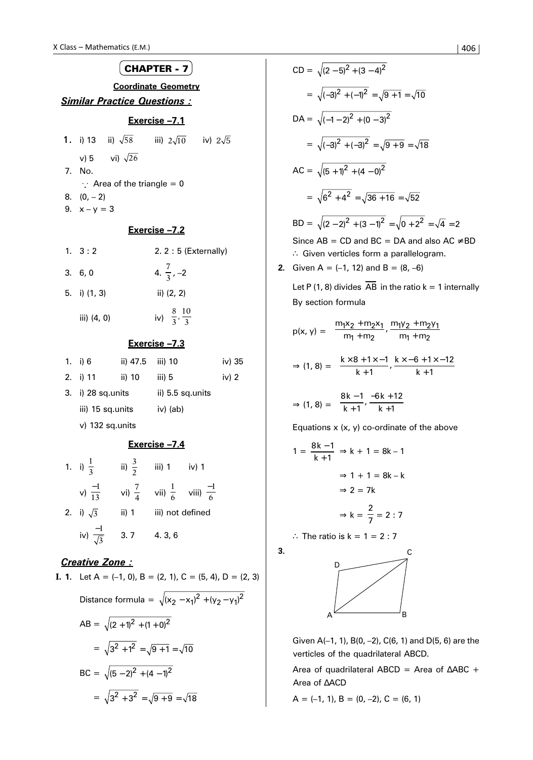

# **Exercise –7.3**

| 1. i) 6              | ii) 47.5 | iii) 10          | iv) 35  |  |
|----------------------|----------|------------------|---------|--|
| 2. i) 11             | ii) 10   | iii) 5           | iv) $2$ |  |
| $3.$ i) 28 sq. units |          | ii) 5.5 sq.units |         |  |
| iii) 15 sq.units     |          | iv) (ab)         |         |  |
| $v)$ 132 sq.units    |          |                  |         |  |

# **Exercise –7.4**

| 1. i) $\frac{1}{3}$       | ii) $\frac{3}{2}$ | iii) $1$<br>iv) $1$                     |
|---------------------------|-------------------|-----------------------------------------|
| v) $\frac{-1}{13}$        | vi) $\frac{7}{4}$ | vii) $\frac{1}{6}$ viii) $\frac{-1}{6}$ |
| 2. i) $\sqrt{3}$          | ii) 1             | iii) not defined                        |
| iv) $\frac{-1}{\sqrt{3}}$ | 3.7               | 4.3,6                                   |

## *Creative Zone :*

**I. 1.** Let 
$$
A = (-1, 0)
$$
,  $B = (2, 1)$ ,  $C = (5, 4)$ ,  $D = (2, 3)$ 

\nDistance formula =  $\sqrt{(x_2 - x_1)^2 + (y_2 - y_1)^2}$ 

\n
$$
AB = \sqrt{(2 + 1)^2 + (1 + 0)^2}
$$
\n
$$
= \sqrt{3^2 + 1^2} = \sqrt{9 + 1} = \sqrt{10}
$$

\n
$$
BC = \sqrt{(5 - 2)^2 + (4 - 1)^2}
$$
\n
$$
= \sqrt{3^2 + 3^2} = \sqrt{9 + 9} = \sqrt{18}
$$

$$
CD = \sqrt{(2-5)^2 + (3-4)^2}
$$
  
=  $\sqrt{(-3)^2 + (-1)^2} = \sqrt{9+1} = \sqrt{10}$   
DA =  $\sqrt{(-1-2)^2 + (0-3)^2}$   
=  $\sqrt{(-3)^2 + (-3)^2} = \sqrt{9+9} = \sqrt{18}$   
AC =  $\sqrt{(5+1)^2 + (4-0)^2}$   
=  $\sqrt{6^2 + 4^2} = \sqrt{36 + 16} = \sqrt{52}$   
BD =  $\sqrt{(2-2)^2 + (3-1)^2} = \sqrt{0+2^2} = \sqrt{4} = 2$   
Since AB = CD and BC = DA and also AC ≠ BD  
∴ Given vertices form a parallelogram.  
2. Given A = (-1, 12) and B = (8, -6)

Let P (1, 8) divides  $\overline{AB}$  in the ratio k = 1 internally By section formula

$$
p(x, y) = \left(\frac{m_1x_2 + m_2x_1}{m_1 + m_2}, \frac{m_1y_2 + m_2y_1}{m_1 + m_2}\right)
$$
  

$$
\Rightarrow (1, 8) = \left(\frac{k \times 8 + 1 \times -1}{k + 1}, \frac{k \times -6 + 1 \times -12}{k + 1}\right)
$$
  

$$
\Rightarrow (1, 8) = \left(\frac{8k - 1}{k + 1}, \frac{-6k + 12}{k + 1}\right)
$$

Equations  $x(x, y)$  co-ordinate of the above

$$
1 = \frac{8k - 1}{k + 1} \Rightarrow k + 1 = 8k - 1
$$

$$
\Rightarrow 1 + 1 = 8k - k
$$

$$
\Rightarrow 2 = 7k
$$

$$
\Rightarrow k = \frac{2}{7} = 2:7
$$

∴ The ratio is  $k = 1 = 2 : 7$ 

 **3.**



Given A(–1, 1), B(0, –2), C(6, 1) and D(5, 6) are the verticles of the quadrilateral ABCD.

Area of quadrilateral ABCD = Area of ∆ABC + Area of ∆ACD

 $A = (-1, 1), B = (0, -2), C = (6, 1)$